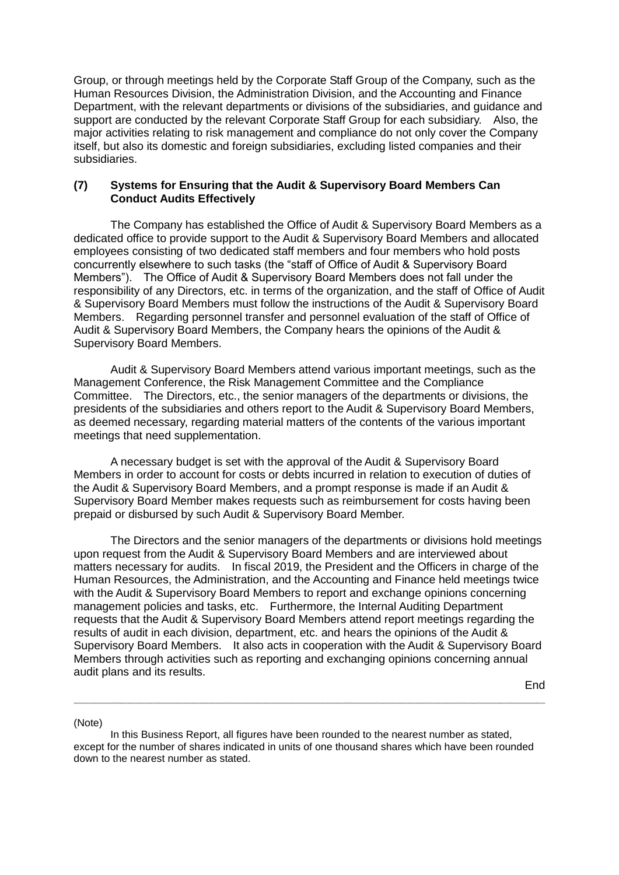Group, or through meetings held by the Corporate Staff Group of the Company, such as the Human Resources Division, the Administration Division, and the Accounting and Finance Department, with the relevant departments or divisions of the subsidiaries, and guidance and support are conducted by the relevant Corporate Staff Group for each subsidiary. Also, the major activities relating to risk management and compliance do not only cover the Company itself, but also its domestic and foreign subsidiaries, excluding listed companies and their subsidiaries.

## **(7) Systems for Ensuring that the Audit & Supervisory Board Members Can Conduct Audits Effectively**

The Company has established the Office of Audit & Supervisory Board Members as a dedicated office to provide support to the Audit & Supervisory Board Members and allocated employees consisting of two dedicated staff members and four members who hold posts concurrently elsewhere to such tasks (the "staff of Office of Audit & Supervisory Board Members"). The Office of Audit & Supervisory Board Members does not fall under the responsibility of any Directors, etc. in terms of the organization, and the staff of Office of Audit & Supervisory Board Members must follow the instructions of the Audit & Supervisory Board Members. Regarding personnel transfer and personnel evaluation of the staff of Office of Audit & Supervisory Board Members, the Company hears the opinions of the Audit & Supervisory Board Members.

Audit & Supervisory Board Members attend various important meetings, such as the Management Conference, the Risk Management Committee and the Compliance Committee. The Directors, etc., the senior managers of the departments or divisions, the presidents of the subsidiaries and others report to the Audit & Supervisory Board Members, as deemed necessary, regarding material matters of the contents of the various important meetings that need supplementation.

A necessary budget is set with the approval of the Audit & Supervisory Board Members in order to account for costs or debts incurred in relation to execution of duties of the Audit & Supervisory Board Members, and a prompt response is made if an Audit & Supervisory Board Member makes requests such as reimbursement for costs having been prepaid or disbursed by such Audit & Supervisory Board Member.

The Directors and the senior managers of the departments or divisions hold meetings upon request from the Audit & Supervisory Board Members and are interviewed about matters necessary for audits. In fiscal 2019, the President and the Officers in charge of the Human Resources, the Administration, and the Accounting and Finance held meetings twice with the Audit & Supervisory Board Members to report and exchange opinions concerning management policies and tasks, etc. Furthermore, the Internal Auditing Department requests that the Audit & Supervisory Board Members attend report meetings regarding the results of audit in each division, department, etc. and hears the opinions of the Audit & Supervisory Board Members. It also acts in cooperation with the Audit & Supervisory Board Members through activities such as reporting and exchanging opinions concerning annual audit plans and its results.

End

 $\overline{a}$ 

(Note)

In this Business Report, all figures have been rounded to the nearest number as stated, except for the number of shares indicated in units of one thousand shares which have been rounded down to the nearest number as stated.